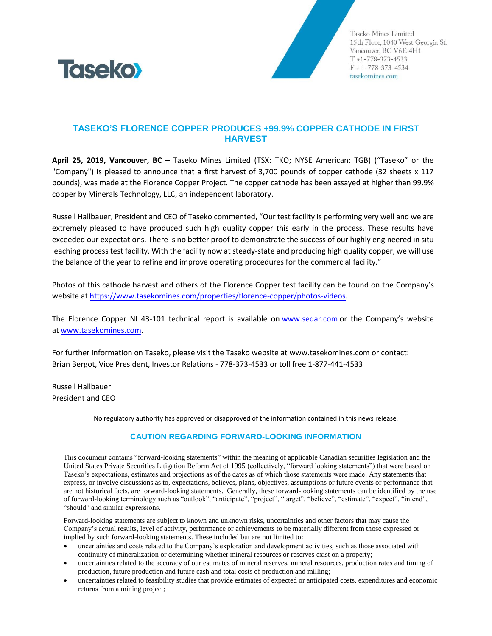

Taseko Mines Limited 15th Floor, 1040 West Georgia St. Vancouver, BC V6E 4H1  $T + 1 - 778 - 373 - 4533$  $F + 1 - 778 - 373 - 4534$ tasekomines.com

## **TASEKO'S FLORENCE COPPER PRODUCES +99.9% COPPER CATHODE IN FIRST HARVEST**

**April 25, 2019, Vancouver, BC** – Taseko Mines Limited (TSX: TKO; NYSE American: TGB) ("Taseko" or the "Company") is pleased to announce that a first harvest of 3,700 pounds of copper cathode (32 sheets x 117 pounds), was made at the Florence Copper Project. The copper cathode has been assayed at higher than 99.9% copper by Minerals Technology, LLC, an independent laboratory.

Russell Hallbauer, President and CEO of Taseko commented, "Our test facility is performing very well and we are extremely pleased to have produced such high quality copper this early in the process. These results have exceeded our expectations. There is no better proof to demonstrate the success of our highly engineered in situ leaching process test facility. With the facility now at steady-state and producing high quality copper, we will use the balance of the year to refine and improve operating procedures for the commercial facility."

Photos of this cathode harvest and others of the Florence Copper test facility can be found on the Company's website a[t https://www.tasekomines.com/properties/florence-copper/photos-videos.](https://www.tasekomines.com/properties/florence-copper/photos-videos)

The Florence Copper NI 43-101 technical report is available on [www.sedar.com](http://www.sedar.com/) or the Company's website at [www.tasekomines.com.](http://www.tasekomines.com/)

For further information on Taseko, please visit the Taseko website at [www.tasekomines.com](http://www.tasekomines.com/) or contact: Brian Bergot, Vice President, Investor Relations - 778-373-4533 or toll free 1-877-441-4533

Russell Hallbauer President and CEO

No regulatory authority has approved or disapproved of the information contained in this news release.

## **CAUTION REGARDING FORWARD-LOOKING INFORMATION**

This document contains "forward-looking statements" within the meaning of applicable Canadian securities legislation and the United States Private Securities Litigation Reform Act of 1995 (collectively, "forward looking statements") that were based on Taseko's expectations, estimates and projections as of the dates as of which those statements were made. Any statements that express, or involve discussions as to, expectations, believes, plans, objectives, assumptions or future events or performance that are not historical facts, are forward-looking statements. Generally, these forward-looking statements can be identified by the use of forward-looking terminology such as "outlook", "anticipate", "project", "target", "believe", "estimate", "expect", "intend", "should" and similar expressions.

Forward-looking statements are subject to known and unknown risks, uncertainties and other factors that may cause the Company's actual results, level of activity, performance or achievements to be materially different from those expressed or implied by such forward-looking statements. These included but are not limited to:

- uncertainties and costs related to the Company's exploration and development activities, such as those associated with continuity of mineralization or determining whether mineral resources or reserves exist on a property;
- uncertainties related to the accuracy of our estimates of mineral reserves, mineral resources, production rates and timing of production, future production and future cash and total costs of production and milling;
- uncertainties related to feasibility studies that provide estimates of expected or anticipated costs, expenditures and economic returns from a mining project;